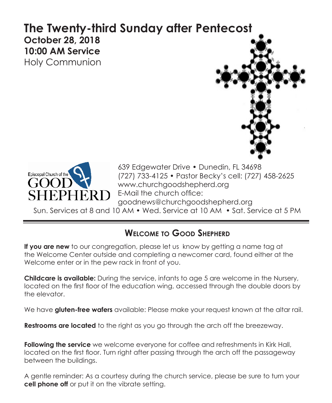# **The Twenty-third Sunday after Pentecost October 28, 2018 10:00 AM Service**  Holy Communion





639 Edgewater Drive • Dunedin, FL 34698 (727) 733-4125 • Pastor Becky's cell: (727) 458-2625 www.churchgoodshepherd.org E-Mail the church office:

goodnews@churchgoodshepherd.org

Sun. Services at 8 and 10 AM • Wed. Service at 10 AM • Sat. Service at 5 PM

## **Welcome to Good Shepherd**

**If you are new** to our congregation, please let us know by getting a name tag at the Welcome Center outside and completing a newcomer card, found either at the Welcome enter or in the pew rack in front of you.

**Childcare is available:** During the service, infants to age 5 are welcome in the Nursery, located on the first floor of the education wing, accessed through the double doors by the elevator.

We have **gluten-free wafers** available: Please make your request known at the altar rail.

**Restrooms are located** to the right as you go through the arch off the breezeway.

**Following the service** we welcome everyone for coffee and refreshments in Kirk Hall, located on the first floor. Turn right after passing through the arch off the passageway between the buildings.

A gentle reminder: As a courtesy during the church service, please be sure to turn your **cell phone off** or put it on the vibrate setting.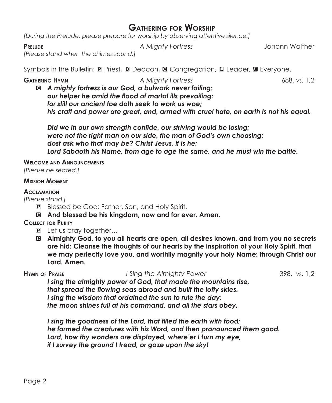## **Gathering for Worship**

*[During the Prelude, please prepare for worship by observing attentive silence.]*

#### **Prelude** *A Mighty Fortress* Johann Walther

*[Please stand when the chimes sound.]*

Symbols in the Bulletin: **P** Priest, **D** Deacon, **Q** Congregation, **L** Leader, **M** Everyone.

#### **Gathering Hymn** *A Mighty Fortress* 688, vs. 1,2

C *A mighty fortress is our God, a bulwark never failing; our helper he amid the flood of mortal ills prevailing: for still our ancient foe doth seek to work us woe; his craft and power are great, and, armed with cruel hate, on earth is not his equal.*

*Did we in our own strength confide, our striving would be losing; were not the right man on our side, the man of God's own choosing: dost ask who that may be? Christ Jesus, it is he; Lord Sabaoth his Name, from age to age the same, and he must win the battle.*

#### **Welcome and Announcements**

*[Please be seated.]*

#### **Mission Moment**

#### **Acclamation**

*[Please stand.]*

P Blessed be God: Father, Son, and Holy Spirit.

### C **And blessed be his kingdom, now and for ever. Amen.**

**Collect for Purity**

- P Let us pray together…
- C **Almighty God, to you all hearts are open, all desires known, and from you no secrets are hid: Cleanse the thoughts of our hearts by the inspiration of your Holy Spirit, that we may perfectly love you, and worthily magnify your holy Name; through Christ our Lord. Amen.**

**Hymn of Praise** *I Sing the Almighty Power* 398, vs. 1,2

*I sing the almighty power of God, that made the mountains rise, that spread the flowing seas abroad and built the lofty skies. I sing the wisdom that ordained the sun to rule the day; the moon shines full at his command, and all the stars obey.*

*I sing the goodness of the Lord, that filled the earth with food; he formed the creatures with his Word, and then pronounced them good. Lord, how thy wonders are displayed, where'er I turn my eye, if I survey the ground I tread, or gaze upon the sky!*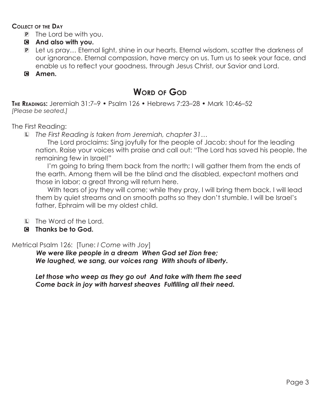### **Collect of the Day**

- P The Lord be with you.
- C **And also with you.**
- P Let us pray… Eternal light, shine in our hearts. Eternal wisdom, scatter the darkness of our ignorance. Eternal compassion, have mercy on us. Turn us to seek your face, and enable us to reflect your goodness, through Jesus Christ, our Savior and Lord.
- C **Amen.**

## **Word of God**

**The Readings:** Jeremiah 31:7–9 • Psalm 126 • Hebrews 7:23–28 • Mark 10:46–52 *[Please be seated.]*

The First Reading:

L *The First Reading is taken from Jeremiah, chapter 31…*

The Lord proclaims: Sing joyfully for the people of Jacob; shout for the leading nation. Raise your voices with praise and call out: "The Lord has saved his people, the remaining few in Israel!"

I'm going to bring them back from the north; I will gather them from the ends of the earth. Among them will be the blind and the disabled, expectant mothers and those in labor; a great throng will return here.

With tears of joy they will come; while they pray, I will bring them back. I will lead them by quiet streams and on smooth paths so they don't stumble. I will be Israel's father, Ephraim will be my oldest child.

- L The Word of the Lord.
- C **Thanks be to God.**

Metrical Psalm 126: [Tune: *I Come with Joy*]

*We were like people in a dream When God set Zion free; We laughed, we sang, our voices rang With shouts of liberty.*

*Let those who weep as they go out And take with them the seed Come back in joy with harvest sheaves Fulfilling all their need.*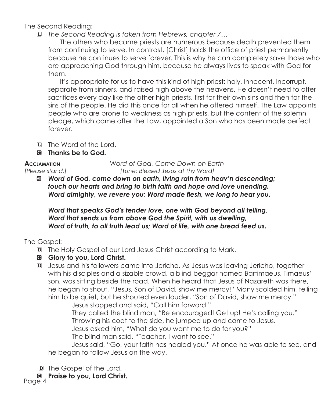The Second Reading:

L *The Second Reading is taken from Hebrews, chapter 7…*

The others who became priests are numerous because death prevented them from continuing to serve. In contrast, [Christ] holds the office of priest permanently because he continues to serve forever. This is why he can completely save those who are approaching God through him, because he always lives to speak with God for them.

It's appropriate for us to have this kind of high priest: holy, innocent, incorrupt, separate from sinners, and raised high above the heavens. He doesn't need to offer sacrifices every day like the other high priests, first for their own sins and then for the sins of the people. He did this once for all when he offered himself. The Law appoints people who are prone to weakness as high priests, but the content of the solemn pledge, which came after the Law, appointed a Son who has been made perfect forever.

L The Word of the Lord.

C **Thanks be to God.**

**Acclamation** *Word of God, Come Down on Earth [Please stand.] [Tune: Blessed Jesus at Thy Word]*

a *Word of God, come down on earth, living rain from heav'n descending; touch our hearts and bring to birth faith and hope and love unending. Word almighty, we revere you; Word made flesh, we long to hear you.*

*Word that speaks God's tender love, one with God beyond all telling, Word that sends us from above God the Spirit, with us dwelling, Word of truth, to all truth lead us; Word of life, with one bread feed us.*

The Gospel:

- D The Holy Gospel of our Lord Jesus Christ according to Mark.
- C **Glory to you, Lord Christ.**
- D Jesus and his followers came into Jericho. As Jesus was leaving Jericho, together with his disciples and a sizable crowd, a blind beggar named Bartimaeus, Timaeus' son, was sitting beside the road. When he heard that Jesus of Nazareth was there, he began to shout, "Jesus, Son of David, show me mercy!" Many scolded him, telling him to be quiet, but he shouted even louder, "Son of David, show me mercy!"

Jesus stopped and said, "Call him forward."

They called the blind man, "Be encouraged! Get up! He's calling you."

Throwing his coat to the side, he jumped up and came to Jesus.

Jesus asked him, "What do you want me to do for you?"

The blind man said, "Teacher, I want to see."

Jesus said, "Go, your faith has healed you." At once he was able to see, and he began to follow Jesus on the way.

D The Gospel of the Lord.

C **Praise to you, Lord Christ.**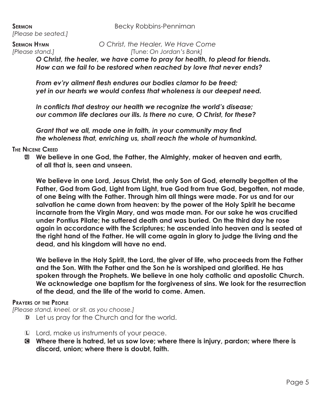*[Please be seated.]*

### **Sermon Hymn** *O Christ, the Healer, We Have Come [Please stand.] [*Tune: *On Jordan's Bank]*

*O Christ, the healer, we have come to pray for health, to plead for friends. How can we fail to be restored when reached by love that never ends?*

*From ev'ry ailment flesh endures our bodies clamor to be freed; yet in our hearts we would confess that wholeness is our deepest need.*

*In conflicts that destroy our health we recognize the world's disease; our common life declares our ills. Is there no cure, O Christ, for these?*

*Grant that we all, made one in faith, in your community may find the wholeness that, enriching us, shall reach the whole of humankind.*

**The Nicene Creed**

 $\mathbf{M}$  We believe in one God, the Father, the Almighty, maker of heaven and earth,  **of all that is, seen and unseen.**

 **We believe in one Lord, Jesus Christ, the only Son of God, eternally begotten of the Father, God from God, Light from Light, true God from true God, begotten, not made, of one Being with the Father. Through him all things were made. For us and for our salvation he came down from heaven: by the power of the Holy Spirit he became incarnate from the Virgin Mary, and was made man. For our sake he was crucified under Pontius Pilate; he suffered death and was buried. On the third day he rose again in accordance with the Scriptures; he ascended into heaven and is seated at the right hand of the Father. He will come again in glory to judge the living and the dead, and his kingdom will have no end.**

 **We believe in the Holy Spirit, the Lord, the giver of life, who proceeds from the Father and the Son. With the Father and the Son he is worshiped and glorified. He has spoken through the Prophets. We believe in one holy catholic and apostolic Church. We acknowledge one baptism for the forgiveness of sins. We look for the resurrection of the dead, and the life of the world to come. Amen.**

#### **Prayers of the People**

*[Please stand, kneel, or sit, as you choose.]*

- D Let us pray for the Church and for the world.
- L Lord, make us instruments of your peace.
- C **Where there is hatred, let us sow love; where there is injury, pardon; where there is discord, union; where there is doubt, faith.**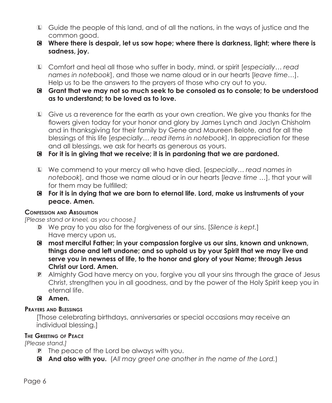- L Guide the people of this land, and of all the nations, in the ways of justice and the common good.
- C **Where there is despair, let us sow hope; where there is darkness, light; where there is sadness, joy.**
- L Comfort and heal all those who suffer in body, mind, or spirit [*especially… read names in notebook*], and those we name aloud or in our hearts [*leave time…*]. Help us to be the answers to the prayers of those who cry out to you.
- C **Grant that we may not so much seek to be consoled as to console; to be understood as to understand; to be loved as to love.**
- L Give us a reverence for the earth as your own creation. We give you thanks for the flowers given today for your honor and glory by James Lynch and Jaclyn Chisholm and in thanksgiving for their family by Gene and Maureen Belote, and for all the blessings of this life [*especially… read items in notebook*]. In appreciation for these and all blessings, we ask for hearts as generous as yours.
- C **For it is in giving that we receive; it is in pardoning that we are pardoned.**
- L We commend to your mercy all who have died, [*especially… read names in notebook*], and those we name aloud or in our hearts [*leave time …*], that your will for them may be fulfilled;
- C **For it is in dying that we are born to eternal life. Lord, make us instruments of your peace. Amen.**

#### **Confession and Absolution**

*[Please stand or kneel, as you choose.]*

- D We pray to you also for the forgiveness of our sins. [*Silence is kept.*] Have mercy upon us,
- C **most merciful Father; in your compassion forgive us our sins, known and unknown, things done and left undone; and so uphold us by your Spirit that we may live and serve you in newness of life, to the honor and glory of your Name; through Jesus Christ our Lord. Amen.**
- P Almighty God have mercy on you, forgive you all your sins through the grace of Jesus Christ, strengthen you in all goodness, and by the power of the Holy Spirit keep you in eternal life.

C **Amen.**

#### **Prayers and Blessings**

[Those celebrating birthdays, anniversaries or special occasions may receive an individual blessing.]

### **The Greeting of Peace**

*[Please stand.]*

- P The peace of the Lord be always with you.
- C **And also with you.** (*All may greet one another in the name of the Lord.*)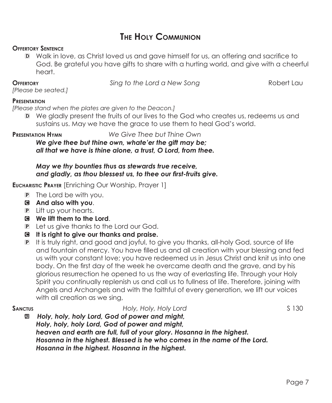## **The Holy Communion**

#### **Offertory Sentence**

D Walk in love, as Christ loved us and gave himself for us, an offering and sacrifice to God. Be grateful you have gifts to share with a hurting world, and give with a cheerful heart.

**Offertory** *Sing to the Lord a New Song* Robert Lau

*[Please be seated.]*

#### **Presentation**

*[Please stand when the plates are given to the Deacon.]*

D We gladly present the fruits of our lives to the God who creates us, redeems us and sustains us. May we have the grace to use them to heal God's world.

**Presentation Hymn** *We Give Thee but Thine Own*

*We give thee but thine own, whate'er the gift may be; all that we have is thine alone, a trust, O Lord, from thee.*

#### *May we thy bounties thus as stewards true receive, and gladly, as thou blessest us, to thee our first-fruits give.*

**Eucharistic Prayer** [Enriching Our Worship, Prayer 1]

- P The Lord be with you.
- C **And also with you**.
- P Lift up your hearts.
- C **We lift them to the Lord**.
- P Let us give thanks to the Lord our God.
- C **It is right to give our thanks and praise.**
- P It is truly right, and good and joyful, to give you thanks, all-holy God, source of life and fountain of mercy. You have filled us and all creation with your blessing and fed us with your constant love; you have redeemed us in Jesus Christ and knit us into one body. On the first day of the week he overcame death and the grave, and by his glorious resurrection he opened to us the way of everlasting life. Through your Holy Spirit you continually replenish us and call us to fullness of life. Therefore, joining with Angels and Archangels and with the faithful of every generation, we lift our voices with all creation as we sing.

| SANCTUS | Holy, Holy, Holy Lord                                                    | S 130 |
|---------|--------------------------------------------------------------------------|-------|
|         | <b>III</b> Holy, holy, holy Lord, God of power and might,                |       |
|         | Holy, holy, holy Lord, God of power and might,                           |       |
|         | heaven and earth are full, full of your glory. Hosanna in the highest.   |       |
|         | Hosanna in the highest. Blessed is he who comes in the name of the Lord. |       |
|         | Hosanna in the highest. Hosanna in the highest.                          |       |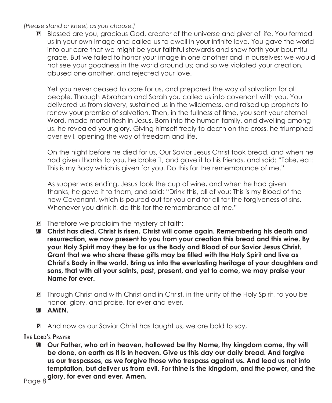*[Please stand or kneel, as you choose.]*

P Blessed are you, gracious God, creator of the universe and giver of life. You formed us in your own image and called us to dwell in your infinite love. You gave the world into our care that we might be your faithful stewards and show forth your bountiful grace. But we failed to honor your image in one another and in ourselves; we would not see your goodness in the world around us; and so we violated your creation, abused one another, and rejected your love.

 Yet you never ceased to care for us, and prepared the way of salvation for all people. Through Abraham and Sarah you called us into covenant with you. You delivered us from slavery, sustained us in the wilderness, and raised up prophets to renew your promise of salvation. Then, in the fullness of time, you sent your eternal Word, made mortal flesh in Jesus. Born into the human family, and dwelling among us, he revealed your glory. Giving himself freely to death on the cross, he triumphed over evil, opening the way of freedom and life.

On the night before he died for us, Our Savior Jesus Christ took bread, and when he had given thanks to you, he broke it, and gave it to his friends, and said: "Take, eat: This is my Body which is given for you. Do this for the remembrance of me."

 As supper was ending, Jesus took the cup of wine, and when he had given thanks, he gave it to them, and said: "Drink this, all of you: This is my Blood of the new Covenant, which is poured out for you and for all for the forgiveness of sins. Whenever you drink it, do this for the remembrance of me."

- P Therefore we proclaim the mystery of faith:
- a **Christ has died. Christ is risen. Christ will come again. Remembering his death and resurrection, we now present to you from your creation this bread and this wine. By your Holy Spirit may they be for us the Body and Blood of our Savior Jesus Christ. Grant that we who share these gifts may be filled with the Holy Spirit and live as Christ's Body in the world. Bring us into the everlasting heritage of your daughters and sons, that with all your saints, past, present, and yet to come, we may praise your Name for ever.**
- P Through Christ and with Christ and in Christ, in the unity of the Holy Spirit, to you be honor, glory, and praise, for ever and ever.
- **M** AMEN.
- P And now as our Savior Christ has taught us, we are bold to say,
- **The Lord's Prayer**
	- a **Our Father, who art in heaven, hallowed be thy Name, thy kingdom come, thy will be done, on earth as it is in heaven. Give us this day our daily bread. And forgive us our trespasses, as we forgive those who trespass against us. And lead us not into temptation, but deliver us from evil. For thine is the kingdom, and the power, and the glory, for ever and ever. Amen.**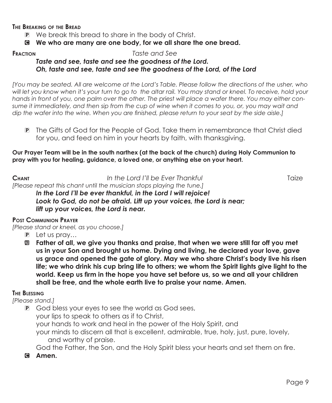**The Breaking of the Bread**

- P We break this bread to share in the body of Christ.
- C **We who are many are one body, for we all share the one bread.**

**Fraction** *Taste and See*

*Taste and see, taste and see the goodness of the Lord. Oh, taste and see, taste and see the goodness of the Lord, of the Lord*

*[You may be seated. All are welcome at the Lord's Table. Please follow the directions of the usher, who*  will let you know when it's your turn to go to the altar rail. You may stand or kneel. To receive, hold your *hands in front of you, one palm over the other. The priest will place a wafer there. You may either consume it immediately, and then sip from the cup of wine when it comes to you, or, you may wait and dip the wafer into the wine. When you are finished, please return to your seat by the side aisle.]*

P The Gifts of God for the People of God. Take them in remembrance that Christ died for you, and feed on him in your hearts by faith, with thanksgiving.

**Our Prayer Team will be in the south narthex (at the back of the church) during Holy Communion to pray with you for healing, guidance, a loved one, or anything else on your heart.** 

**Chant** *In the Lord I'll be Ever Thankful* Taize

*[Please repeat this chant until the musician stops playing the tune.] In the Lord I'll be ever thankful, in the Lord I will rejoice!*

*Look to God, do not be afraid. Lift up your voices, the Lord is near; lift up your voices, the Lord is near.*

#### **Post Communion Prayer**

*[Please stand or kneel, as you choose.]*

- P Let us pray…
- a **Father of all, we give you thanks and praise, that when we were still far off you met us in your Son and brought us home. Dying and living, he declared your love, gave**  us arace and opened the gate of glory. May we who share Christ's body live his risen **life; we who drink his cup bring life to others; we whom the Spirit lights give light to the world. Keep us firm in the hope you have set before us, so we and all your children shall be free, and the whole earth live to praise your name. Amen.**

#### **The Blessing**

*[Please stand.]*

P God bless your eyes to see the world as God sees,

your lips to speak to others as if to Christ,

your hands to work and heal in the power of the Holy Spirit, and

your minds to discern all that is excellent, admirable, true, holy, just, pure, lovely, and worthy of praise.

God the Father, the Son, and the Holy Spirit bless your hearts and set them on fire.

C **Amen.**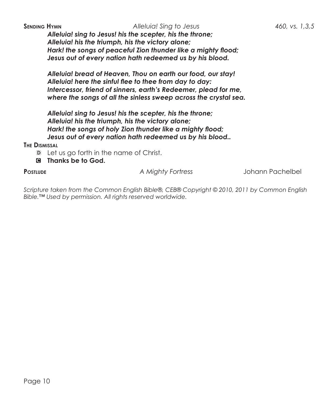*Alleluia! sing to Jesus! his the scepter, his the throne; Alleluia! his the triumph, his the victory alone; Hark! the songs of peaceful Zion thunder like a mighty flood; Jesus out of every nation hath redeemed us by his blood.*

*Alleluia! bread of Heaven, Thou on earth our food, our stay! Alleluia! here the sinful flee to thee from day to day: Intercessor, friend of sinners, earth's Redeemer, plead for me, where the songs of all the sinless sweep across the crystal sea.*

*Alleluia! sing to Jesus! his the scepter, his the throne; Alleluia! his the triumph, his the victory alone; Hark! the songs of holy Zion thunder like a mighty flood; Jesus out of every nation hath redeemed us by his blood..*

**The Dismissal**

- D Let us go forth in the name of Christ.
- C **Thanks be to God.**

**Postlude** *A Mighty Fortress* Johann Pachelbel

*Scripture taken from the Common English Bible®, CEB® Copyright © 2010, 2011 by Common English Bible.™ Used by permission. All rights reserved worldwide.*